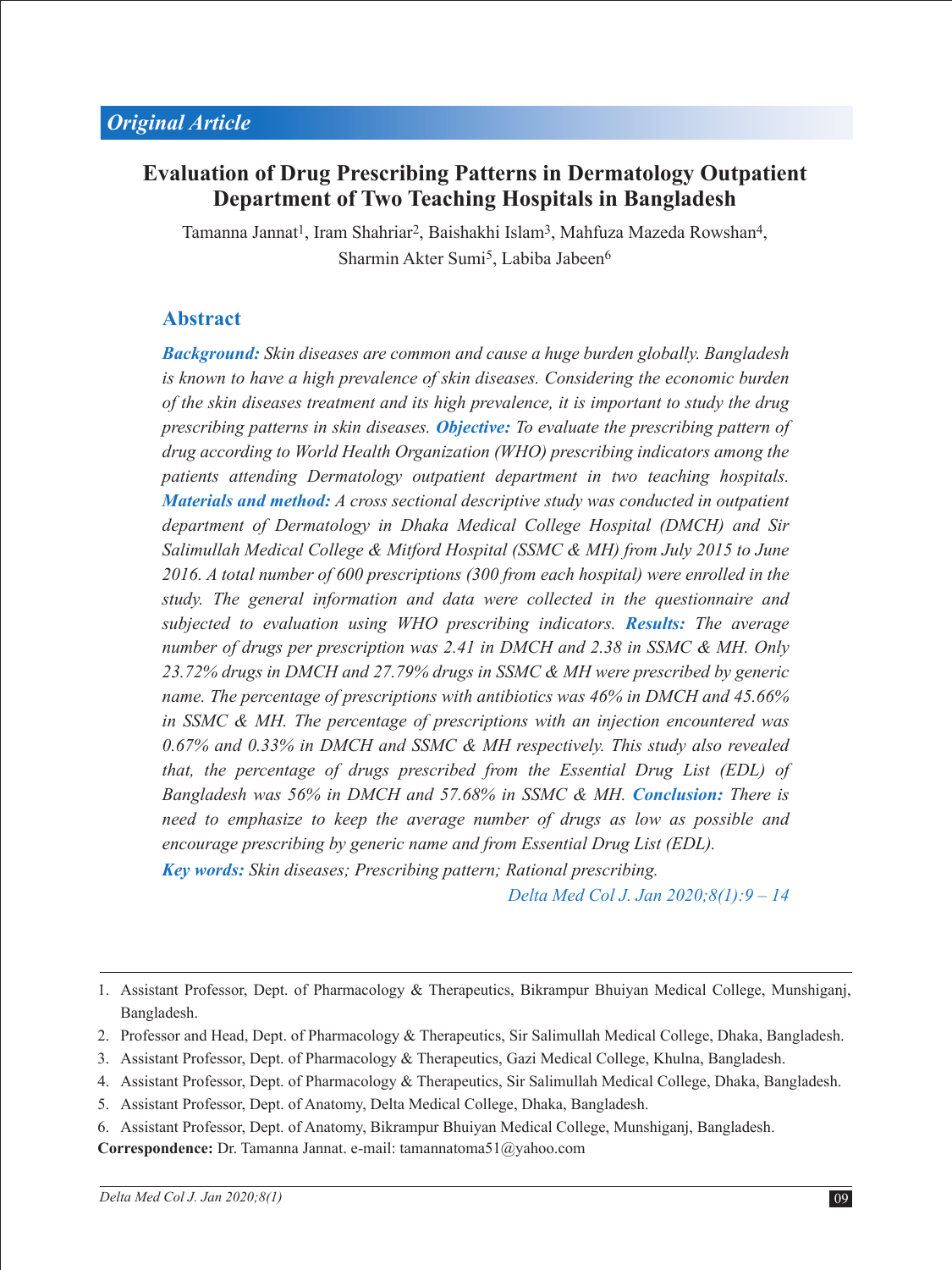# **Evaluation of Drug Prescribing Patterns in Dermatology Outpatient Department of Two Teaching Hospitals in Bangladesh**

Tamanna Jannat<sup>1</sup>, Iram Shahriar<sup>2</sup>, Baishakhi Islam<sup>3</sup>, Mahfuza Mazeda Rowshan<sup>4</sup>, Sharmin Akter Sumi<sup>5</sup>, Labiba Jabeen<sup>6</sup>

## **Abstract**

*Background: Skin diseases are common and cause a huge burden globally. Bangladesh is known to have a high prevalence of skin diseases. Considering the economic burden of the skin diseases treatment and its high prevalence, it is important to study the drug prescribing patterns in skin diseases. Objective: To evaluate the prescribing pattern of drug according to World Health Organization (WHO) prescribing indicators among the patients attending Dermatology outpatient department in two teaching hospitals. Materials and method: A cross sectional descriptive study was conducted in outpatient department of Dermatology in Dhaka Medical College Hospital (DMCH) and Sir Salimullah Medical College & Mitford Hospital (SSMC & MH) from July 2015 to June 2016. A total number of 600 prescriptions (300 from each hospital) were enrolled in the study. The general information and data were collected in the questionnaire and subjected to evaluation using WHO prescribing indicators. Results: The average number of drugs per prescription was 2.41 in DMCH and 2.38 in SSMC & MH. Only 23.72% drugs in DMCH and 27.79% drugs in SSMC & MH were prescribed by generic name. The percentage of prescriptions with antibiotics was 46% in DMCH and 45.66% in SSMC & MH. The percentage of prescriptions with an injection encountered was 0.67% and 0.33% in DMCH and SSMC & MH respectively. This study also revealed that, the percentage of drugs prescribed from the Essential Drug List (EDL) of Bangladesh was 56% in DMCH and 57.68% in SSMC & MH. Conclusion: There is need to emphasize to keep the average number of drugs as low as possible and encourage prescribing by generic name and from Essential Drug List (EDL).*

*Key words: Skin diseases; Prescribing pattern; Rational prescribing.*

*Delta Med Col J. Jan 2020;8(1):9 – 14*

**Correspondence:** Dr. Tamanna Jannat. e-mail: tamannatoma51@yahoo.com

<sup>1.</sup> Assistant Professor, Dept. of Pharmacology & Therapeutics, Bikrampur Bhuiyan Medical College, Munshiganj, Bangladesh.

<sup>2.</sup> Professor and Head, Dept. of Pharmacology & Therapeutics, Sir Salimullah Medical College, Dhaka, Bangladesh.

<sup>3.</sup> Assistant Professor, Dept. of Pharmacology & Therapeutics, Gazi Medical College, Khulna, Bangladesh.

<sup>4.</sup> Assistant Professor, Dept. of Pharmacology & Therapeutics, Sir Salimullah Medical College, Dhaka, Bangladesh.

<sup>5.</sup> Assistant Professor, Dept. of Anatomy, Delta Medical College, Dhaka, Bangladesh.

<sup>6.</sup> Assistant Professor, Dept. of Anatomy, Bikrampur Bhuiyan Medical College, Munshiganj, Bangladesh.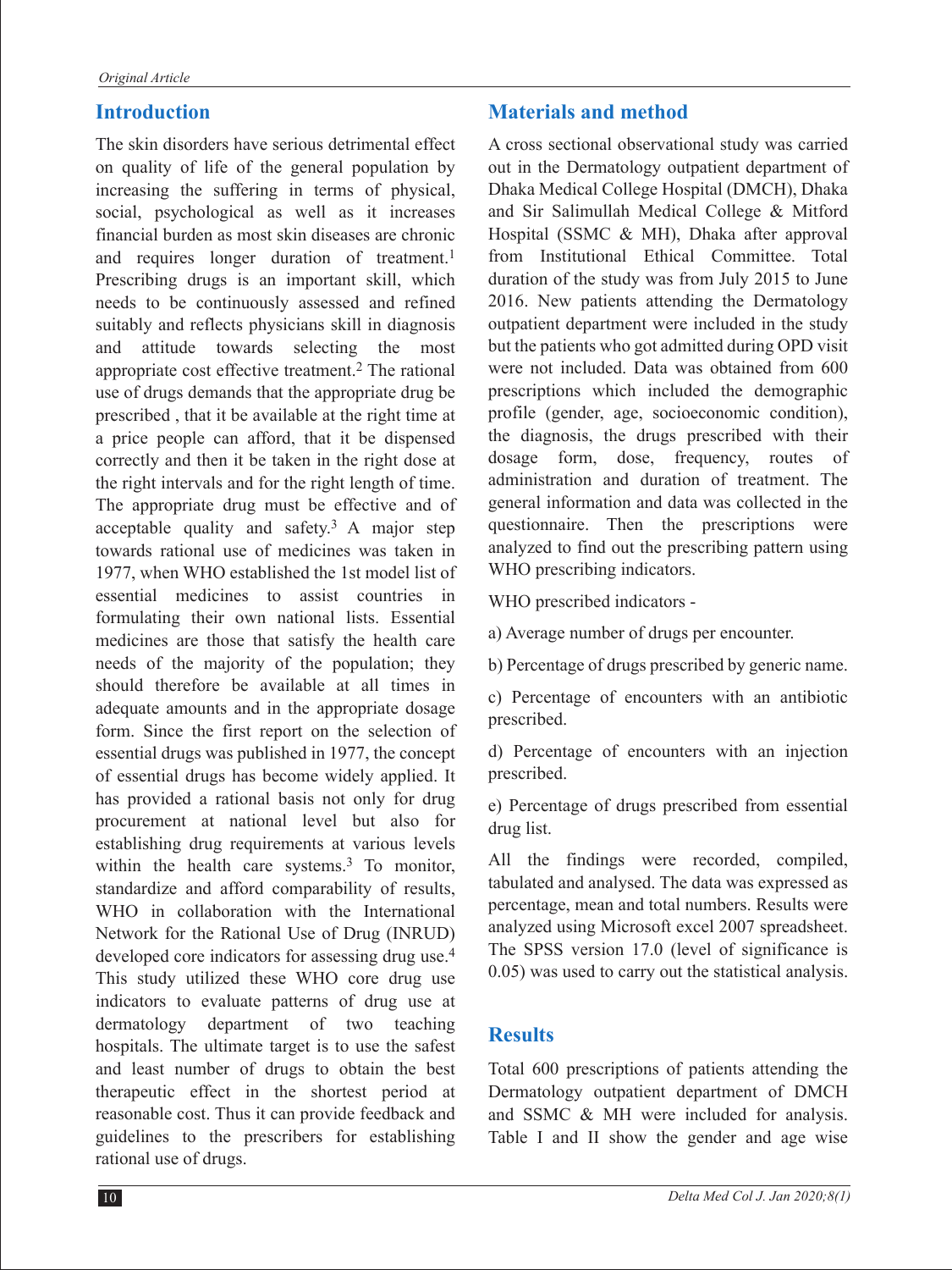## **Introduction**

The skin disorders have serious detrimental effect on quality of life of the general population by increasing the suffering in terms of physical, social, psychological as well as it increases financial burden as most skin diseases are chronic and requires longer duration of treatment.<sup>1</sup> Prescribing drugs is an important skill, which needs to be continuously assessed and refined suitably and reflects physicians skill in diagnosis and attitude towards selecting the most appropriate cost effective treatment.2 The rational use of drugs demands that the appropriate drug be prescribed , that it be available at the right time at a price people can afford, that it be dispensed correctly and then it be taken in the right dose at the right intervals and for the right length of time. The appropriate drug must be effective and of acceptable quality and safety.3 A major step towards rational use of medicines was taken in 1977, when WHO established the 1st model list of essential medicines to assist countries in formulating their own national lists. Essential medicines are those that satisfy the health care needs of the majority of the population; they should therefore be available at all times in adequate amounts and in the appropriate dosage form. Since the first report on the selection of essential drugs was published in 1977, the concept of essential drugs has become widely applied. It has provided a rational basis not only for drug procurement at national level but also for establishing drug requirements at various levels within the health care systems.<sup>3</sup> To monitor, standardize and afford comparability of results, WHO in collaboration with the International Network for the Rational Use of Drug (INRUD) developed core indicators for assessing drug use.<sup>4</sup> This study utilized these WHO core drug use indicators to evaluate patterns of drug use at dermatology department of two teaching hospitals. The ultimate target is to use the safest and least number of drugs to obtain the best therapeutic effect in the shortest period at reasonable cost. Thus it can provide feedback and guidelines to the prescribers for establishing rational use of drugs.

### **Materials and method**

A cross sectional observational study was carried out in the Dermatology outpatient department of Dhaka Medical College Hospital (DMCH), Dhaka and Sir Salimullah Medical College & Mitford Hospital (SSMC & MH), Dhaka after approval from Institutional Ethical Committee. Total duration of the study was from July 2015 to June 2016. New patients attending the Dermatology outpatient department were included in the study but the patients who got admitted during OPD visit were not included. Data was obtained from 600 prescriptions which included the demographic profile (gender, age, socioeconomic condition), the diagnosis, the drugs prescribed with their dosage form, dose, frequency, routes of administration and duration of treatment. The general information and data was collected in the questionnaire. Then the prescriptions were analyzed to find out the prescribing pattern using WHO prescribing indicators.

WHO prescribed indicators -

a) Average number of drugs per encounter.

b) Percentage of drugs prescribed by generic name.

c) Percentage of encounters with an antibiotic prescribed.

d) Percentage of encounters with an injection prescribed.

e) Percentage of drugs prescribed from essential drug list.

All the findings were recorded, compiled, tabulated and analysed. The data was expressed as percentage, mean and total numbers. Results were analyzed using Microsoft excel 2007 spreadsheet. The SPSS version 17.0 (level of significance is 0.05) was used to carry out the statistical analysis.

## **Results**

Total 600 prescriptions of patients attending the Dermatology outpatient department of DMCH and SSMC & MH were included for analysis. Table I and II show the gender and age wise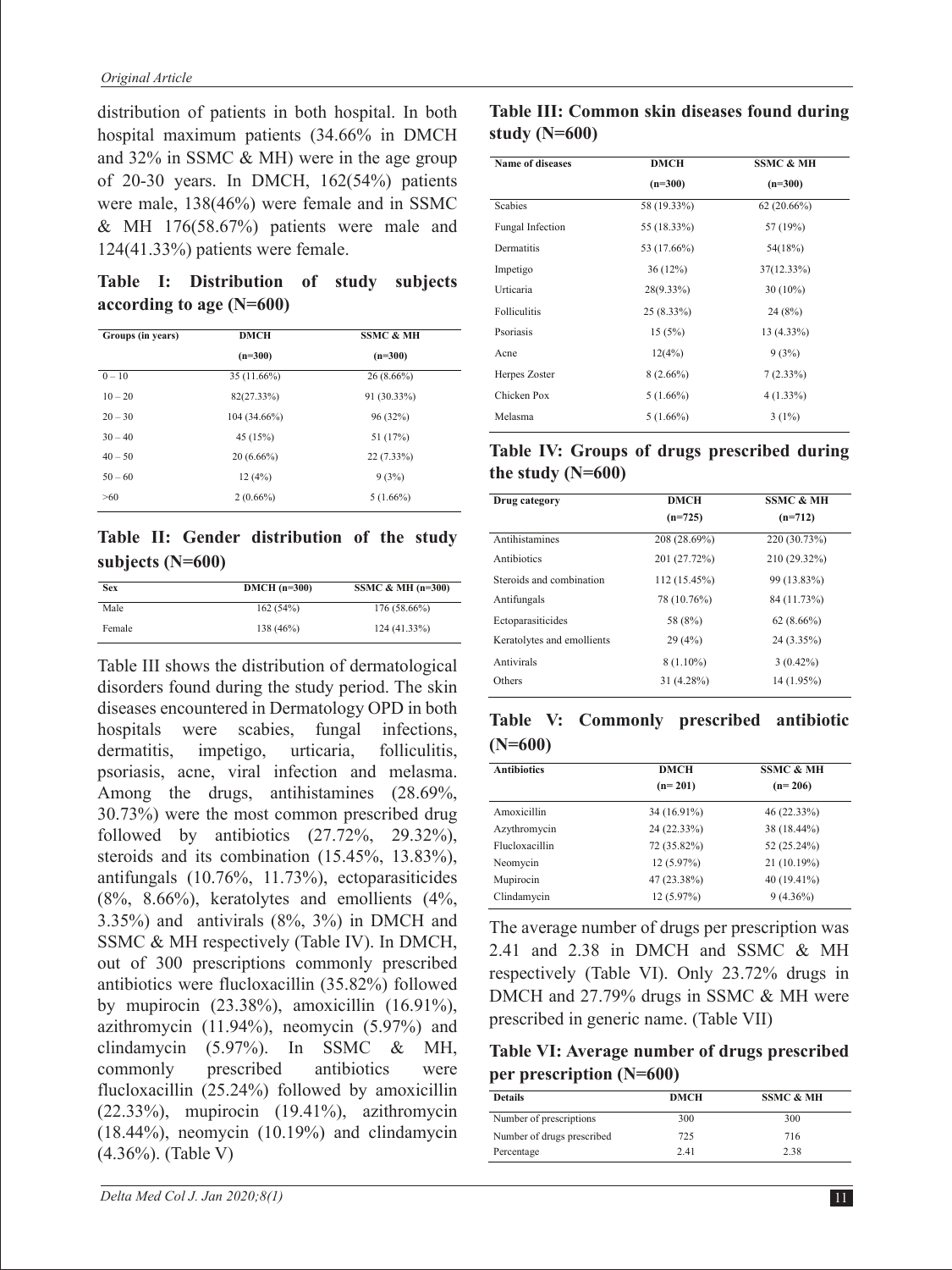distribution of patients in both hospital. In both hospital maximum patients (34.66% in DMCH and 32% in SSMC & MH) were in the age group of 20-30 years. In DMCH, 162(54%) patients were male, 138(46%) were female and in SSMC  $&$  MH 176(58.67%) patients were male and 124(41.33%) patients were female.

**Table I: Distribution of study subjects according to age (N=600)**

| Groups (in years) | DMCH         | <b>SSMC &amp; MH</b> |
|-------------------|--------------|----------------------|
|                   | $(n=300)$    | $(n=300)$            |
| $0 - 10$          | 35 (11.66%)  | $26(8.66\%)$         |
| $10 - 20$         | 82(27.33%)   | 91 (30.33%)          |
| $20 - 30$         | 104 (34.66%) | 96(32%)              |
| $30 - 40$         | 45 (15%)     | 51 (17%)             |
| $40 - 50$         | $20(6.66\%)$ | $22(7.33\%)$         |
| $50 - 60$         | 12(4%)       | 9(3%)                |
| >60               | $2(0.66\%)$  | $5(1.66\%)$          |

**Table II: Gender distribution of the study subjects (N=600)**

| <b>Sex</b> | $DMCH (n=300)$ | SSMC & MH $(n=300)$ |
|------------|----------------|---------------------|
| Male       | 162(54%)       | $176(58.66\%)$      |
| Female     | 138 (46%)      | 124 (41.33%)        |

Table III shows the distribution of dermatological disorders found during the study period. The skin diseases encountered in Dermatology OPD in both hospitals were scabies, fungal infections, dermatitis, impetigo, urticaria, folliculitis, psoriasis, acne, viral infection and melasma. Among the drugs, antihistamines (28.69%, 30.73%) were the most common prescribed drug followed by antibiotics  $(27.72\%, 29.32\%),$ steroids and its combination (15.45%, 13.83%), antifungals (10.76%, 11.73%), ectoparasiticides (8%, 8.66%), keratolytes and emollients (4%, 3.35%) and antivirals (8%, 3%) in DMCH and SSMC & MH respectively (Table IV). In DMCH, out of 300 prescriptions commonly prescribed antibiotics were flucloxacillin (35.82%) followed by mupirocin (23.38%), amoxicillin (16.91%), azithromycin (11.94%), neomycin (5.97%) and clindamycin (5.97%). In SSMC & MH, commonly prescribed antibiotics were flucloxacillin (25.24%) followed by amoxicillin  $(22.33\%)$ , mupirocin  $(19.41\%)$ , azithromycin  $(18.44\%)$ , neomycin  $(10.19\%)$  and clindamycin (4.36%). (Table V)

### **Table III: Common skin diseases found during study (N=600)**

| <b>Name of diseases</b> | DMCH         | <b>SSMC &amp; MH</b> |
|-------------------------|--------------|----------------------|
|                         | $(n=300)$    | $(n=300)$            |
| <b>Scabies</b>          | 58 (19.33%)  | 62(20.66%)           |
| Fungal Infection        | 55 (18.33%)  | 57 (19%)             |
| Dermatitis              | 53 (17.66%)  | 54(18%)              |
| Impetigo                | 36(12%)      | 37(12.33%)           |
| Urticaria               | 28(9.33%)    | $30(10\%)$           |
| Folliculitis            | $25(8.33\%)$ | 24(8%)               |
| Psoriasis               | 15(5%)       | 13 (4.33%)           |
| Acne                    | 12(4%)       | 9(3%)                |
| Herpes Zoster           | $8(2.66\%)$  | 7(2.33%)             |
| Chicken Pox             | $5(1.66\%)$  | $4(1.33\%)$          |
| Melasma                 | $5(1.66\%)$  | $3(1\%)$             |

#### **Table IV: Groups of drugs prescribed during the study (N=600)**

| Drug category              | <b>DMCH</b>  | <b>SSMC &amp; MH</b> |
|----------------------------|--------------|----------------------|
|                            | $(n=725)$    | $(n=712)$            |
| Antihistamines             | 208 (28.69%) | 220 (30.73%)         |
| Antibiotics                | 201 (27.72%) | 210 (29.32%)         |
| Steroids and combination   | 112 (15.45%) | 99 (13.83%)          |
| Antifungals                | 78 (10.76%)  | 84 (11.73%)          |
| Ectoparasiticides          | 58 (8%)      | $62(8.66\%)$         |
| Keratolytes and emollients | 29(4%)       | 24 (3.35%)           |
| Antivirals                 | $8(1.10\%)$  | $3(0.42\%)$          |
| Others                     | 31 (4.28%)   | 14 (1.95%)           |
|                            |              |                      |

|           | Table V: Commonly prescribed antibiotic |  |
|-----------|-----------------------------------------|--|
| $(N=600)$ |                                         |  |

| <b>Antibiotics</b> | <b>DMCH</b> | <b>SSMC &amp; MH</b> |
|--------------------|-------------|----------------------|
|                    | $(n=201)$   | $(n=206)$            |
| Amoxicillin        | 34 (16.91%) | 46 (22.33%)          |
| Azythromycin       | 24 (22.33%) | 38 (18.44%)          |
| Flucloxacillin     | 72 (35.82%) | 52 (25.24%)          |
| Neomycin           | 12(5.97%)   | 21 (10.19%)          |
| Mupirocin          | 47 (23.38%) | 40 (19.41%)          |
| Clindamycin        | 12(5.97%)   | $9(4.36\%)$          |
|                    |             |                      |

The average number of drugs per prescription was 2.41 and 2.38 in DMCH and SSMC & MH respectively (Table VI). Only 23.72% drugs in DMCH and 27.79% drugs in SSMC & MH were prescribed in generic name. (Table VII)

**Table VI: Average number of drugs prescribed per prescription (N=600)**

| <b>Details</b>             | <b>DMCH</b> | <b>SSMC &amp; MH</b> |
|----------------------------|-------------|----------------------|
| Number of prescriptions    | 300         | 300                  |
| Number of drugs prescribed | 725         | 716                  |
| Percentage                 | 2.41        | 2.38                 |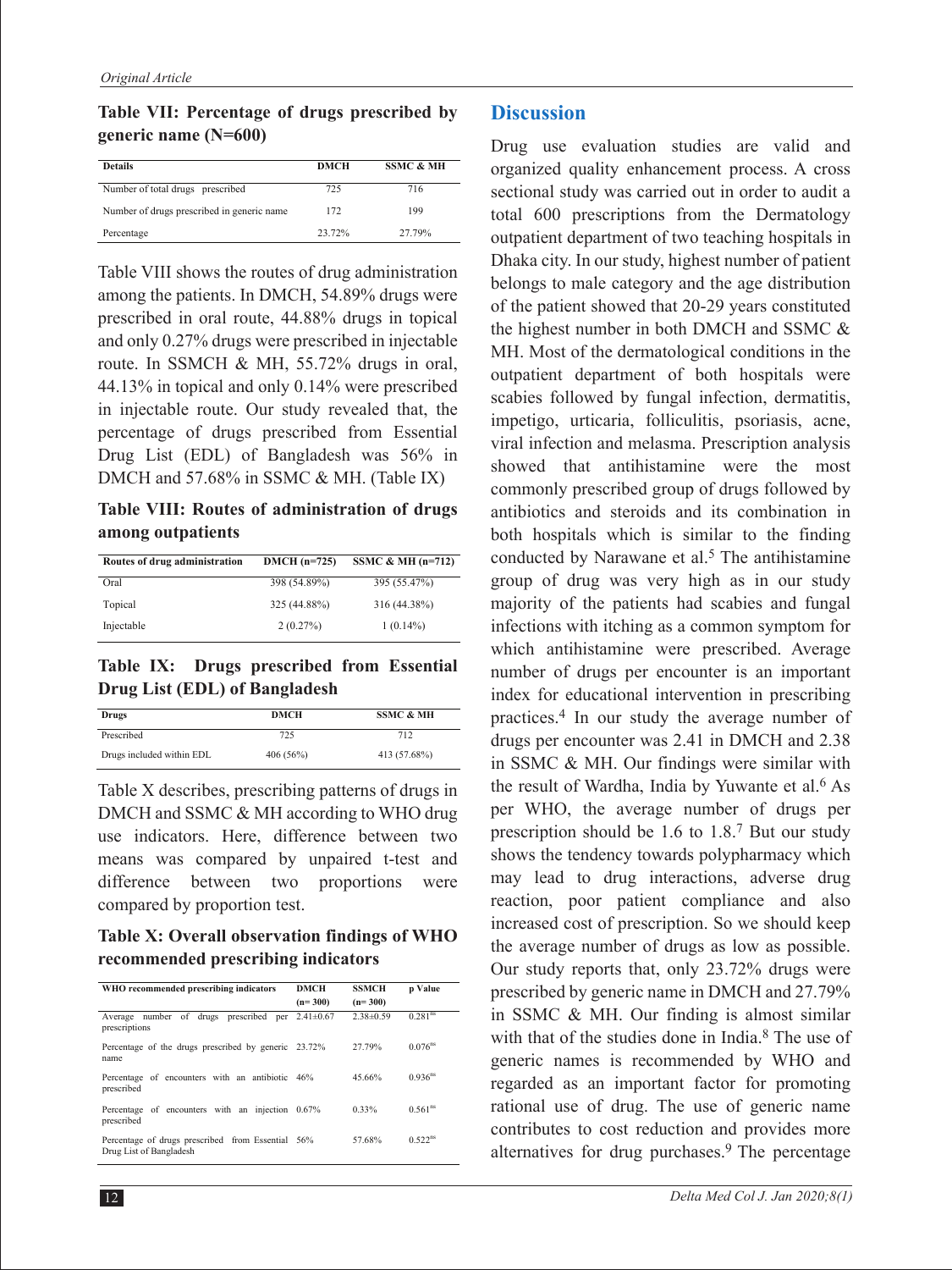**Table VII: Percentage of drugs prescribed by generic name (N=600)**

| <b>Details</b>                              | <b>DMCH</b> | <b>SSMC &amp; MH</b> |
|---------------------------------------------|-------------|----------------------|
| Number of total drugs prescribed            | 725         | 716                  |
| Number of drugs prescribed in generic name. | 172         | 199                  |
| Percentage                                  | 23 72%      | 27 79%               |

Table VIII shows the routes of drug administration among the patients. In DMCH, 54.89% drugs were prescribed in oral route, 44.88% drugs in topical and only 0.27% drugs were prescribed in injectable route. In SSMCH & MH, 55.72% drugs in oral, 44.13% in topical and only 0.14% were prescribed in injectable route. Our study revealed that, the percentage of drugs prescribed from Essential Drug List (EDL) of Bangladesh was 56% in DMCH and 57.68% in SSMC & MH. (Table IX)

**Table VIII: Routes of administration of drugs among outpatients**

| Routes of drug administration | $DMCH (n=725)$ | SSMC & MH $(n=712)$ |
|-------------------------------|----------------|---------------------|
| Oral                          | 398 (54.89%)   | 395 (55.47%)        |
| Topical                       | 325 (44.88%)   | 316 (44.38%)        |
| Injectable                    | 2(0.27%)       | $1(0.14\%)$         |

**Table IX: Drugs prescribed from Essential Drug List (EDL) of Bangladesh**

| Drugs                     | DMCH     | <b>SSMC &amp; MH</b> |
|---------------------------|----------|----------------------|
| Prescribed                | 725      | 712                  |
| Drugs included within EDL | 406(56%) | 413 (57.68%)         |

Table X describes, prescribing patterns of drugs in DMCH and SSMC & MH according to WHO drug use indicators. Here, difference between two means was compared by unpaired t-test and difference between two proportions were compared by proportion test.

**Table X: Overall observation findings of WHO recommended prescribing indicators**

| WHO recommended prescribing indicators                                       | DMCH<br>$(n=300)$ | <b>SSMCH</b><br>$(n=300)$ | p Value               |
|------------------------------------------------------------------------------|-------------------|---------------------------|-----------------------|
| Average number of drugs prescribed per<br>prescriptions                      | $2.41 \pm 0.67$   | $2.38\pm0.59$             | 0.281 <sup>ns</sup>   |
| Percentage of the drugs prescribed by generic 23.72%<br>name                 |                   | 27 79%                    | $0.076$ <sup>ns</sup> |
| Percentage of encounters with an antibiotic 46%<br>prescribed                |                   | 45 66%                    | $0.936$ <sup>ns</sup> |
| Percentage of encounters with an injection 0.67%<br>prescribed               |                   | 0.33%                     | 0.561 <sup>ns</sup>   |
| Percentage of drugs prescribed from Essential 56%<br>Drug List of Bangladesh |                   | 57 68%                    | $0.522$ <sup>ns</sup> |

#### **Discussion**

Drug use evaluation studies are valid and organized quality enhancement process. A cross sectional study was carried out in order to audit a total 600 prescriptions from the Dermatology outpatient department of two teaching hospitals in Dhaka city. In our study, highest number of patient belongs to male category and the age distribution of the patient showed that 20-29 years constituted the highest number in both DMCH and SSMC & MH. Most of the dermatological conditions in the outpatient department of both hospitals were scabies followed by fungal infection, dermatitis, impetigo, urticaria, folliculitis, psoriasis, acne, viral infection and melasma. Prescription analysis showed that antihistamine were the most commonly prescribed group of drugs followed by antibiotics and steroids and its combination in both hospitals which is similar to the finding conducted by Narawane et al.<sup>5</sup> The antihistamine group of drug was very high as in our study majority of the patients had scabies and fungal infections with itching as a common symptom for which antihistamine were prescribed. Average number of drugs per encounter is an important index for educational intervention in prescribing practices.4 In our study the average number of drugs per encounter was 2.41 in DMCH and 2.38 in SSMC & MH. Our findings were similar with the result of Wardha, India by Yuwante et al.<sup>6</sup> As per WHO, the average number of drugs per prescription should be 1.6 to 1.8.7 But our study shows the tendency towards polypharmacy which may lead to drug interactions, adverse drug reaction, poor patient compliance and also increased cost of prescription. So we should keep the average number of drugs as low as possible. Our study reports that, only 23.72% drugs were prescribed by generic name in DMCH and 27.79% in SSMC & MH. Our finding is almost similar with that of the studies done in India.<sup>8</sup> The use of generic names is recommended by WHO and regarded as an important factor for promoting rational use of drug. The use of generic name contributes to cost reduction and provides more alternatives for drug purchases.<sup>9</sup> The percentage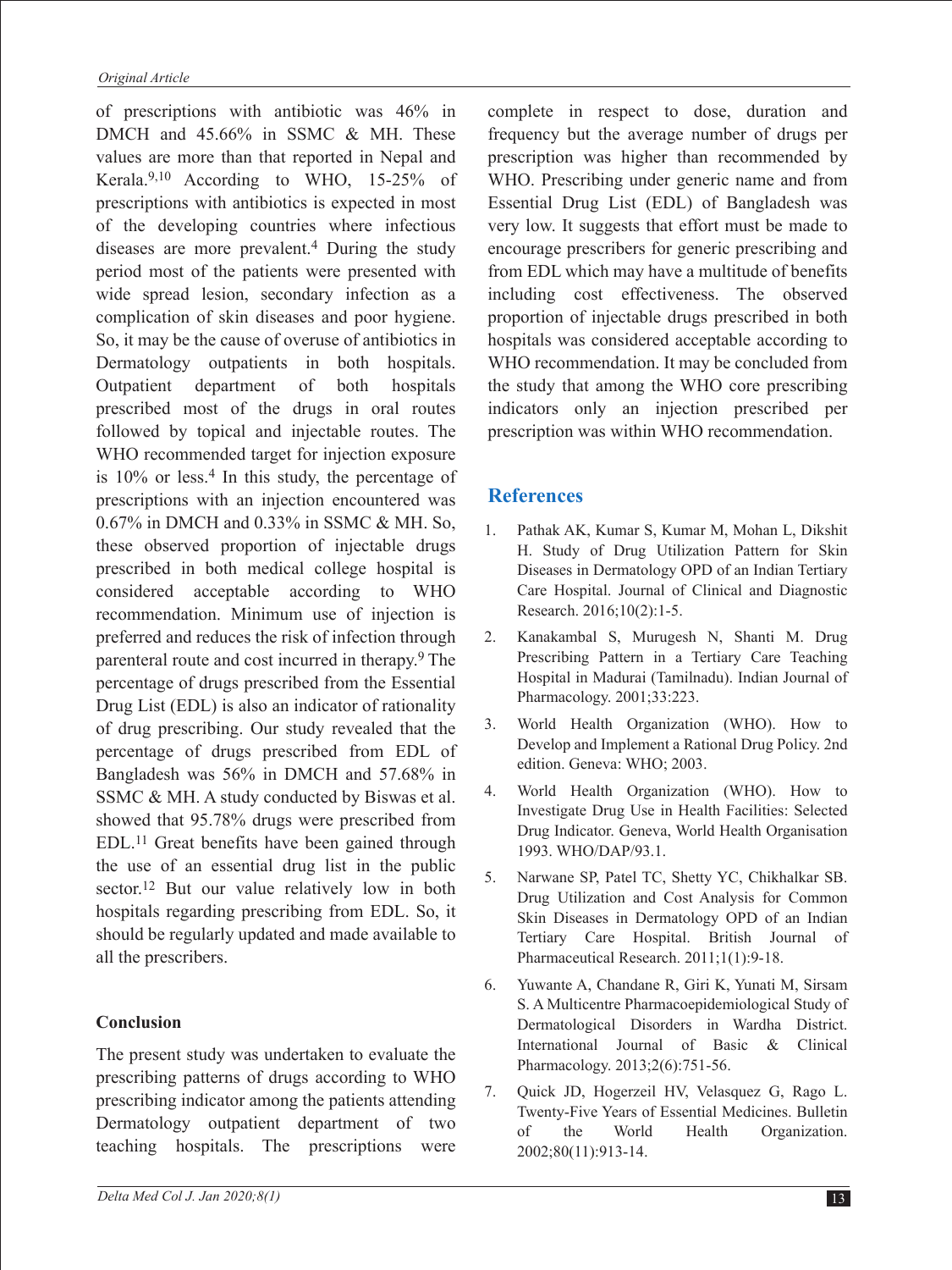of prescriptions with antibiotic was 46% in DMCH and 45.66% in SSMC & MH. These values are more than that reported in Nepal and Kerala.9,10 According to WHO, 15-25% of prescriptions with antibiotics is expected in most of the developing countries where infectious diseases are more prevalent.4 During the study period most of the patients were presented with wide spread lesion, secondary infection as a complication of skin diseases and poor hygiene. So, it may be the cause of overuse of antibiotics in Dermatology outpatients in both hospitals. Outpatient department of both hospitals prescribed most of the drugs in oral routes followed by topical and injectable routes. The WHO recommended target for injection exposure is  $10\%$  or less.<sup>4</sup> In this study, the percentage of prescriptions with an injection encountered was 0.67% in DMCH and 0.33% in SSMC & MH. So, these observed proportion of injectable drugs prescribed in both medical college hospital is considered acceptable according to WHO recommendation. Minimum use of injection is preferred and reduces the risk of infection through parenteral route and cost incurred in therapy.<sup>9</sup> The percentage of drugs prescribed from the Essential Drug List (EDL) is also an indicator of rationality of drug prescribing. Our study revealed that the percentage of drugs prescribed from EDL of Bangladesh was 56% in DMCH and 57.68% in SSMC & MH. A study conducted by Biswas et al. showed that 95.78% drugs were prescribed from EDL.11 Great benefits have been gained through the use of an essential drug list in the public sector.<sup>12</sup> But our value relatively low in both hospitals regarding prescribing from EDL. So, it should be regularly updated and made available to all the prescribers.

### **Conclusion**

The present study was undertaken to evaluate the prescribing patterns of drugs according to WHO prescribing indicator among the patients attending Dermatology outpatient department of two teaching hospitals. The prescriptions were

complete in respect to dose, duration and frequency but the average number of drugs per prescription was higher than recommended by WHO. Prescribing under generic name and from Essential Drug List (EDL) of Bangladesh was very low. It suggests that effort must be made to encourage prescribers for generic prescribing and from EDL which may have a multitude of benefits including cost effectiveness. The observed proportion of injectable drugs prescribed in both hospitals was considered acceptable according to WHO recommendation. It may be concluded from the study that among the WHO core prescribing indicators only an injection prescribed per prescription was within WHO recommendation.

## **References**

- 1. Pathak AK, Kumar S, Kumar M, Mohan L, Dikshit H. Study of Drug Utilization Pattern for Skin Diseases in Dermatology OPD of an Indian Tertiary Care Hospital. Journal of Clinical and Diagnostic Research. 2016;10(2):1-5.
- 2. Kanakambal S, Murugesh N, Shanti M. Drug Prescribing Pattern in a Tertiary Care Teaching Hospital in Madurai (Tamilnadu). Indian Journal of Pharmacology. 2001;33:223.
- 3. World Health Organization (WHO). How to Develop and Implement a Rational Drug Policy. 2nd edition. Geneva: WHO; 2003.
- 4. World Health Organization (WHO). How to Investigate Drug Use in Health Facilities: Selected Drug Indicator. Geneva, World Health Organisation 1993. WHO/DAP/93.1.
- 5. Narwane SP, Patel TC, Shetty YC, Chikhalkar SB. Drug Utilization and Cost Analysis for Common Skin Diseases in Dermatology OPD of an Indian Tertiary Care Hospital. British Journal of Pharmaceutical Research. 2011;1(1):9-18.
- 6. Yuwante A, Chandane R, Giri K, Yunati M, Sirsam S. A Multicentre Pharmacoepidemiological Study of Dermatological Disorders in Wardha District. International Journal of Basic & Clinical Pharmacology. 2013;2(6):751-56.
- 7. Quick JD, Hogerzeil HV, Velasquez G, Rago L. Twenty-Five Years of Essential Medicines. Bulletin of the World Health Organization. 2002;80(11):913-14.